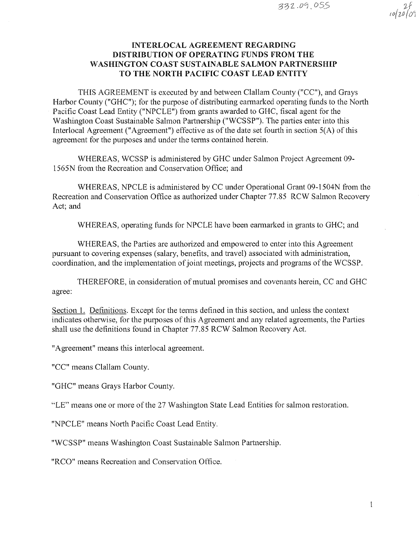?f ro(w(01

# INTERLOCAL AGREEMENT REGARDING DISTRIBUTION OF OPERATING FUNDS FROM THE WASHINGTON COAST SUSTAINABLE SALMON PARTNERSHIP TO THE NORTH PACIFIC COAST LEAD ENTITY

THIS AGREEMENT is executed by and between Clallam County ("CC"), and Grays Harbor County ("GHC"); for the purpose of distributing earmarked operating funds to the North Pacific Coast Lead Entity ("NPCLE") from grants awarded to GHC, fiscal agent for the Washington Coast Sustainable Salmon Partnership ("WCSSP"). The parties enter into this lnterlocal Agreement ("Agreement") effective as of the date set fourth in section 5(A) of this agreement for the purposes and under the terms contained herein.

WHEREAS, WCSSP is administered by GHC under Salmon Project Agreement 09- 1565N from the Recreation and Conservation Office; and

WHEREAS, NPCLE is administered by CC under Operational Grant 09-1504N from the Recreation and Conservation Office as authorized under Chapter 77.85 RCW Salmon Recovery Act; and

WHEREAS, operating funds for NPCLE have been earmarked in grants to GHC; and

WHEREAS, the Parties are authorized and empowered to enter into this Agreement pursuant to covering expenses (salary, benefits, and travel) associated with administration, coordination, and the implementation of joint meetings, projects and programs of the WCSSP.

THEREFORE, in consideration of mutual promises and covenants herein, CC and GHC agree:

Section l. Definitions. Except for the terms defined in this section, and unless the context indicates otherwise, for the purposes of this Agreement and any related agreements, the Parties shall use the definitions found in Chapter 77.85 RCW Salmon Recovery Act.

"Agreement" means this interlocal agreement.

"CC" means Clallam County.

"GHC" means Grays Harbor County.

"LE" means one or more of the 27 Washington State Lead Entities for salmon restoration.

"NPCLE" means North Pacific Coast Lead Entity.

"WCSSP" means Washington Coast Sustainable Salmon Partnership.

"RCO" means Recreation and Conservation Office.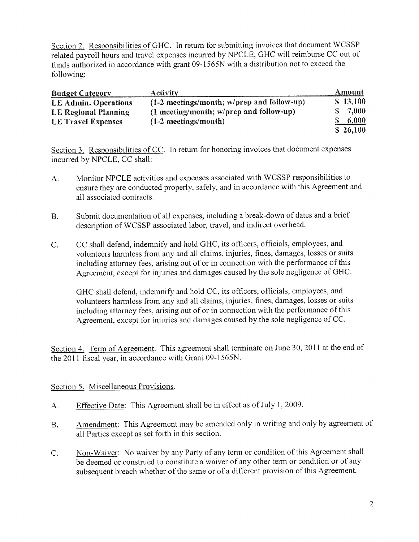Section 2. Responsibilities of GHC. In return for submitting invoices that document WCSSP related payroll hours and travel expenses incurred by NPCLE, GHC will reimburse CC out of funds authorized in accordance with grant 09-1565N with a distribution not to exceed the following:

| <b>Budget Category</b>      | Activity                                     |     | Amount   |
|-----------------------------|----------------------------------------------|-----|----------|
| <b>LE Admin. Operations</b> | $(1-2$ meetings/month; w/prep and follow-up) |     | \$13,100 |
| <b>LE Regional Planning</b> | (1 meeting/month; w/prep and follow-up)      | SS- | 7,000    |
| <b>LE Travel Expenses</b>   | $(1-2$ meetings/month)                       |     | 6,000    |
|                             |                                              |     | \$26,100 |

Section 3. Responsibilities of CC. In return for honoring invoices that document expenses incurred by NPCLE, CC shall:

- A. Monitor NPCLE activities and expenses associated with WCSSP responsibilities to ensure they are conducted properly, safely, and in accordance with this Agreement and all associated contracts.
- B. Submit documentation of all expenses, including a break-down of dates and a brief description of WCSSP associated labor, travel, and indirect overhead.
- C. CC shall defend, indemnify and hold GHC, its officers, officials, employees, and volunteers harmless tiom any and all claims, injuries, fines, damages, losses or suits including attorney fees, arising out of or in connection with the performance of this Agreement, except for injuries and damages caused by the sole negligence of GHC.

GHC shall defend, indemnify and hold CC, its officers, officials, employees, and volunteers harmless from any and all claims, injuries, fines, damages, losses or suits including attorney fees, arising out of or in connection with the performance of this Agreement, except for injuries and damages caused by the sole negligence of CC.

Section 4. Term of Agreement. This agreement shall terminate on June 30, 2011 at the end of the 2011 fiscal year, in accordance with Grant 09-1565N.

## Section 5. Miscellaneous Provisions.

- A. Effective Date: This Agreement shall be in effect as of July 1, 2009.
- B. Amendment: This Agreement may be amended only in writing and only by agreement of all Parties except as set forth in this section.
- C. Non-Waiver: No waiver by any Party of any term or condition of this Agreement shall be deemed or construed to constitute a waiver of any other term or condition or of any subsequent breach whether of the same or of a different provision of this Agreement.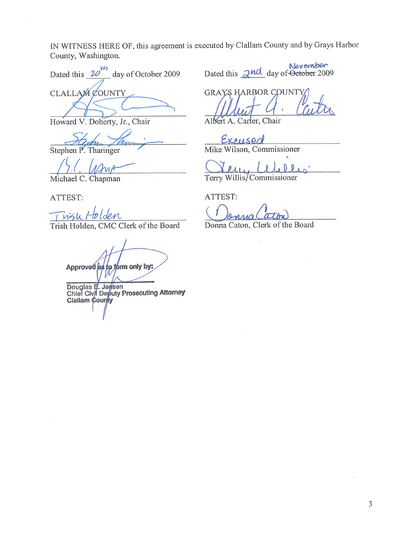IN WITNESS HERE OF, this agreement is executed by Clallam County and by Grays Harbor County, Washington.

Dated this  $20^{1/1}$  day of October 2009 **CLALLAM COUNTY** 

Howard V. Doherty, Jr., Chair

Stephen P. Tharinger

Michael C. Chapman

ATTEST:

dem  $n2h$ 

Trish Holden, CMC Clerk of the Board

Approved as to form only by:

Douglas E. Jersen<br>Chief Civil Deputy Prosecuting Attorney<br>Clallam County

November Dated this  $2<sup>nd</sup>$  day of  $\overline{\text{October 2009}}$ 

**GRAYS HARBOR COUNT** 

Albert A. Carter, Chair

Excused Mike Wilson, Commissioner

Terry Willis/Commissioner

ATTEST:

Donna Caton, Clerk of the Board